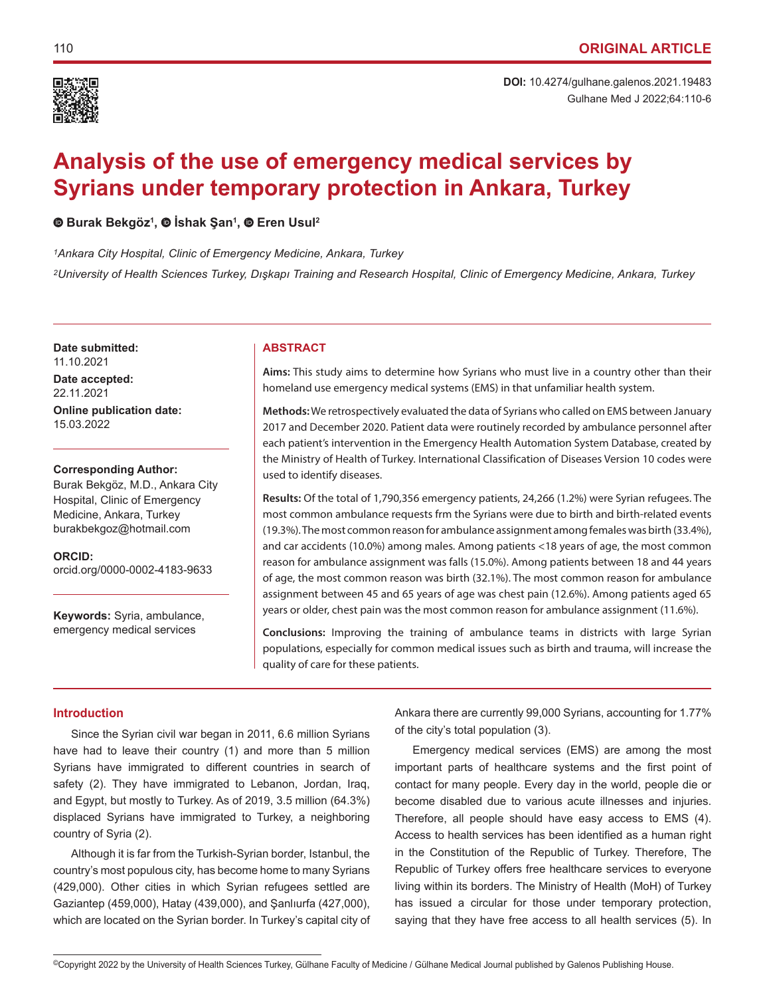

# **Analysis of the use of emergency medical services by Syrians under temporary protection in Ankara, Turkey**

**Burak Bekgöz<sup>1</sup> , İshak Şan<sup>1</sup> ,Eren Usul2**

*1Ankara City Hospital, Clinic of Emergency Medicine, Ankara, Turkey <sup>2</sup>University of Health Sciences Turkey, Dışkapı Training and Research Hospital, Clinic of Emergency Medicine, Ankara, Turkey*

**Date submitted:** 11.10.2021

**Date accepted:** 22.11.2021 **Online publication date:** 15.03.2022

**Corresponding Author:**

Burak Bekgöz, M.D., Ankara City Hospital, Clinic of Emergency Medicine, Ankara, Turkey burakbekgoz@hotmail.com

**ORCID:**  orcid.org/0000-0002-4183-9633

**Keywords:** Syria, ambulance, emergency medical services

# **ABSTRACT**

**Aims:** This study aims to determine how Syrians who must live in a country other than their homeland use emergency medical systems (EMS) in that unfamiliar health system.

**Methods:** We retrospectively evaluated the data of Syrians who called on EMS between January 2017 and December 2020. Patient data were routinely recorded by ambulance personnel after each patient's intervention in the Emergency Health Automation System Database, created by the Ministry of Health of Turkey. International Classification of Diseases Version 10 codes were used to identify diseases.

**Results:** Of the total of 1,790,356 emergency patients, 24,266 (1.2%) were Syrian refugees. The most common ambulance requests frm the Syrians were due to birth and birth-related events (19.3%). The most common reason for ambulance assignment among females was birth (33.4%), and car accidents (10.0%) among males. Among patients <18 years of age, the most common reason for ambulance assignment was falls (15.0%). Among patients between 18 and 44 years of age, the most common reason was birth (32.1%). The most common reason for ambulance assignment between 45 and 65 years of age was chest pain (12.6%). Among patients aged 65 years or older, chest pain was the most common reason for ambulance assignment (11.6%).

**Conclusions:** Improving the training of ambulance teams in districts with large Syrian populations, especially for common medical issues such as birth and trauma, will increase the quality of care for these patients.

# **Introduction**

Since the Syrian civil war began in 2011, 6.6 million Syrians have had to leave their country (1) and more than 5 million Syrians have immigrated to different countries in search of safety (2). They have immigrated to Lebanon, Jordan, Iraq, and Egypt, but mostly to Turkey. As of 2019, 3.5 million (64.3%) displaced Syrians have immigrated to Turkey, a neighboring country of Syria (2).

Although it is far from the Turkish-Syrian border, Istanbul, the country's most populous city, has become home to many Syrians (429,000). Other cities in which Syrian refugees settled are Gaziantep (459,000), Hatay (439,000), and Şanlıurfa (427,000), which are located on the Syrian border. In Turkey's capital city of Ankara there are currently 99,000 Syrians, accounting for 1.77% of the city's total population (3).

Emergency medical services (EMS) are among the most important parts of healthcare systems and the first point of contact for many people. Every day in the world, people die or become disabled due to various acute illnesses and injuries. Therefore, all people should have easy access to EMS (4). Access to health services has been identified as a human right in the Constitution of the Republic of Turkey. Therefore, The Republic of Turkey offers free healthcare services to everyone living within its borders. The Ministry of Health (MoH) of Turkey has issued a circular for those under temporary protection, saying that they have free access to all health services (5). In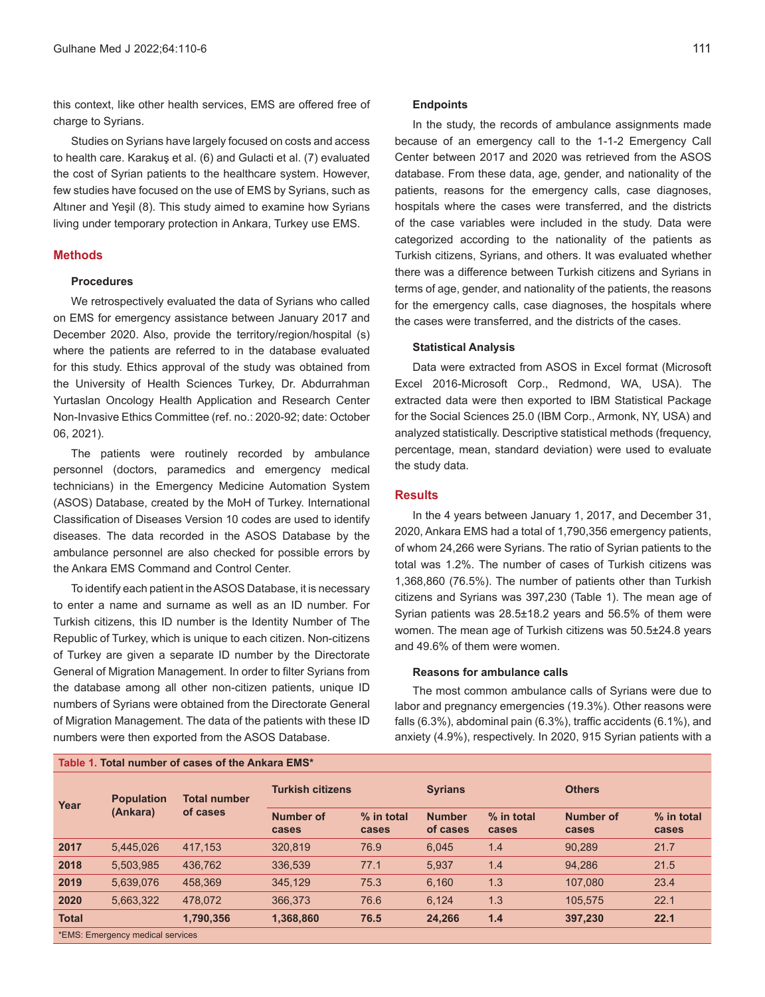this context, like other health services, EMS are offered free of charge to Syrians.

Studies on Syrians have largely focused on costs and access to health care. Karakuş et al. (6) and Gulacti et al. (7) evaluated the cost of Syrian patients to the healthcare system. However, few studies have focused on the use of EMS by Syrians, such as Altıner and Yeşil (8). This study aimed to examine how Syrians living under temporary protection in Ankara, Turkey use EMS.

## **Methods**

## **Procedures**

We retrospectively evaluated the data of Syrians who called on EMS for emergency assistance between January 2017 and December 2020. Also, provide the territory/region/hospital (s) where the patients are referred to in the database evaluated for this study. Ethics approval of the study was obtained from the University of Health Sciences Turkey, Dr. Abdurrahman Yurtaslan Oncology Health Application and Research Center Non-Invasive Ethics Committee (ref. no.: 2020-92; date: October 06, 2021).

The patients were routinely recorded by ambulance personnel (doctors, paramedics and emergency medical technicians) in the Emergency Medicine Automation System (ASOS) Database, created by the MoH of Turkey. International Classification of Diseases Version 10 codes are used to identify diseases. The data recorded in the ASOS Database by the ambulance personnel are also checked for possible errors by the Ankara EMS Command and Control Center.

To identify each patient in the ASOS Database, it is necessary to enter a name and surname as well as an ID number. For Turkish citizens, this ID number is the Identity Number of The Republic of Turkey, which is unique to each citizen. Non-citizens of Turkey are given a separate ID number by the Directorate General of Migration Management. In order to filter Syrians from the database among all other non-citizen patients, unique ID numbers of Syrians were obtained from the Directorate General of Migration Management. The data of the patients with these ID numbers were then exported from the ASOS Database.

**Table 1. Total number of cases of the Ankara EMS\***

#### **Endpoints**

In the study, the records of ambulance assignments made because of an emergency call to the 1-1-2 Emergency Call Center between 2017 and 2020 was retrieved from the ASOS database. From these data, age, gender, and nationality of the patients, reasons for the emergency calls, case diagnoses, hospitals where the cases were transferred, and the districts of the case variables were included in the study. Data were categorized according to the nationality of the patients as Turkish citizens, Syrians, and others. It was evaluated whether there was a difference between Turkish citizens and Syrians in terms of age, gender, and nationality of the patients, the reasons for the emergency calls, case diagnoses, the hospitals where the cases were transferred, and the districts of the cases.

#### **Statistical Analysis**

Data were extracted from ASOS in Excel format (Microsoft Excel 2016-Microsoft Corp., Redmond, WA, USA). The extracted data were then exported to IBM Statistical Package for the Social Sciences 25.0 (IBM Corp., Armonk, NY, USA) and analyzed statistically. Descriptive statistical methods (frequency, percentage, mean, standard deviation) were used to evaluate the study data.

#### **Results**

In the 4 years between January 1, 2017, and December 31, 2020, Ankara EMS had a total of 1,790,356 emergency patients, of whom 24,266 were Syrians. The ratio of Syrian patients to the total was 1.2%. The number of cases of Turkish citizens was 1,368,860 (76.5%). The number of patients other than Turkish citizens and Syrians was 397,230 (Table 1). The mean age of Syrian patients was 28.5±18.2 years and 56.5% of them were women. The mean age of Turkish citizens was 50.5±24.8 years and 49.6% of them were women.

## **Reasons for ambulance calls**

The most common ambulance calls of Syrians were due to labor and pregnancy emergencies (19.3%). Other reasons were falls (6.3%), abdominal pain (6.3%), traffic accidents (6.1%), and anxiety (4.9%), respectively. In 2020, 915 Syrian patients with a

| Year         | <b>Population</b><br>(Ankara)    | <b>Total number</b><br>of cases | <b>Turkish citizens</b> |                     | <b>Syrians</b>            |                     | <b>Others</b>      |                       |  |  |
|--------------|----------------------------------|---------------------------------|-------------------------|---------------------|---------------------------|---------------------|--------------------|-----------------------|--|--|
|              |                                  |                                 | Number of<br>cases      | % in total<br>cases | <b>Number</b><br>of cases | % in total<br>cases | Number of<br>cases | $%$ in total<br>cases |  |  |
| 2017         | 5,445,026                        | 417,153                         | 320.819                 | 76.9                | 6,045                     | 1.4                 | 90,289             | 21.7                  |  |  |
| 2018         | 5,503,985                        | 436,762                         | 336,539                 | 77.1                | 5,937                     | 1.4                 | 94,286             | 21.5                  |  |  |
| 2019         | 5,639,076                        | 458,369                         | 345.129                 | 75.3                | 6,160                     | 1.3                 | 107,080            | 23.4                  |  |  |
| 2020         | 5,663,322                        | 478.072                         | 366,373                 | 76.6                | 6,124                     | 1.3                 | 105,575            | 22.1                  |  |  |
| <b>Total</b> |                                  | 1,790,356                       | 1,368,860               | 76.5                | 24,266                    | 1.4                 | 397,230            | 22.1                  |  |  |
|              | *EMS: Emergency medical services |                                 |                         |                     |                           |                     |                    |                       |  |  |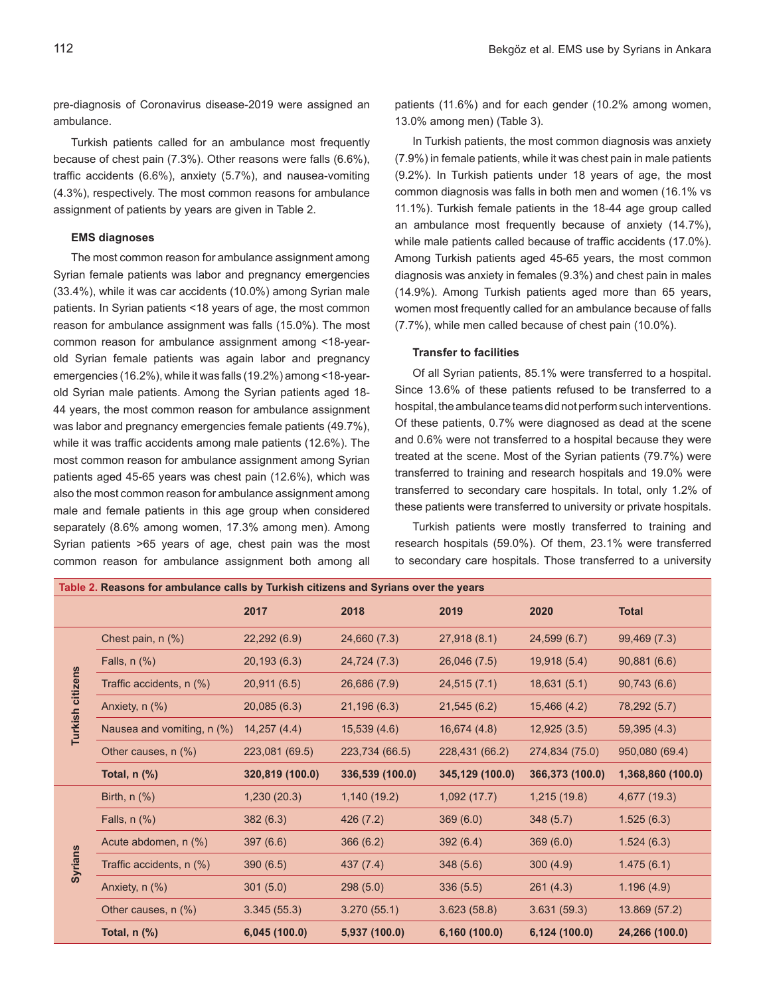pre-diagnosis of Coronavirus disease-2019 were assigned an ambulance.

Turkish patients called for an ambulance most frequently because of chest pain (7.3%). Other reasons were falls (6.6%), traffic accidents (6.6%), anxiety (5.7%), and nausea-vomiting (4.3%), respectively. The most common reasons for ambulance assignment of patients by years are given in Table 2.

#### **EMS diagnoses**

The most common reason for ambulance assignment among Syrian female patients was labor and pregnancy emergencies (33.4%), while it was car accidents (10.0%) among Syrian male patients. In Syrian patients <18 years of age, the most common reason for ambulance assignment was falls (15.0%). The most common reason for ambulance assignment among <18-yearold Syrian female patients was again labor and pregnancy emergencies (16.2%), while it was falls (19.2%) among <18-yearold Syrian male patients. Among the Syrian patients aged 18- 44 years, the most common reason for ambulance assignment was labor and pregnancy emergencies female patients (49.7%), while it was traffic accidents among male patients (12.6%). The most common reason for ambulance assignment among Syrian patients aged 45-65 years was chest pain (12.6%), which was also the most common reason for ambulance assignment among male and female patients in this age group when considered separately (8.6% among women, 17.3% among men). Among Syrian patients >65 years of age, chest pain was the most common reason for ambulance assignment both among all

patients (11.6%) and for each gender (10.2% among women, 13.0% among men) (Table 3).

In Turkish patients, the most common diagnosis was anxiety (7.9%) in female patients, while it was chest pain in male patients (9.2%). In Turkish patients under 18 years of age, the most common diagnosis was falls in both men and women (16.1% vs 11.1%). Turkish female patients in the 18-44 age group called an ambulance most frequently because of anxiety (14.7%), while male patients called because of traffic accidents (17.0%). Among Turkish patients aged 45-65 years, the most common diagnosis was anxiety in females (9.3%) and chest pain in males (14.9%). Among Turkish patients aged more than 65 years, women most frequently called for an ambulance because of falls (7.7%), while men called because of chest pain (10.0%).

#### **Transfer to facilities**

Of all Syrian patients, 85.1% were transferred to a hospital. Since 13.6% of these patients refused to be transferred to a hospital, the ambulance teams did not perform such interventions. Of these patients, 0.7% were diagnosed as dead at the scene and 0.6% were not transferred to a hospital because they were treated at the scene. Most of the Syrian patients (79.7%) were transferred to training and research hospitals and 19.0% were transferred to secondary care hospitals. In total, only 1.2% of these patients were transferred to university or private hospitals.

Turkish patients were mostly transferred to training and research hospitals (59.0%). Of them, 23.1% were transferred to secondary care hospitals. Those transferred to a university

| Table 2. Reasons for ambulance calls by Turkish citizens and Syrians over the years |                            |                 |                 |                 |                 |                   |  |  |  |
|-------------------------------------------------------------------------------------|----------------------------|-----------------|-----------------|-----------------|-----------------|-------------------|--|--|--|
|                                                                                     |                            | 2017            | 2018            | 2019            | 2020            | <b>Total</b>      |  |  |  |
| Turkish citizens                                                                    | Chest pain, $n$ $(\%)$     | 22,292(6.9)     | 24,660 (7.3)    | 27,918 (8.1)    | 24,599 (6.7)    | 99,469 (7.3)      |  |  |  |
|                                                                                     | Falls, $n$ $%$ )           | 20,193(6.3)     | 24,724 (7.3)    | 26,046 (7.5)    | 19,918 (5.4)    | 90,881(6.6)       |  |  |  |
|                                                                                     | Traffic accidents, n (%)   | 20,911 (6.5)    | 26,686 (7.9)    | 24,515(7.1)     | 18,631(5.1)     | 90,743(6.6)       |  |  |  |
|                                                                                     | Anxiety, n (%)             | 20,085(6.3)     | 21,196(6.3)     | 21,545(6.2)     | 15,466(4.2)     | 78,292 (5.7)      |  |  |  |
|                                                                                     | Nausea and vomiting, n (%) | 14,257(4.4)     | 15,539(4.6)     | 16,674 (4.8)    | 12,925(3.5)     | 59,395 (4.3)      |  |  |  |
|                                                                                     | Other causes, n (%)        | 223,081 (69.5)  | 223,734 (66.5)  | 228,431 (66.2)  | 274,834 (75.0)  | 950,080 (69.4)    |  |  |  |
|                                                                                     | Total, $n$ $%$ )           | 320,819 (100.0) | 336,539 (100.0) | 345,129 (100.0) | 366,373 (100.0) | 1,368,860 (100.0) |  |  |  |
|                                                                                     |                            |                 |                 |                 |                 |                   |  |  |  |
|                                                                                     | Birth, $n$ $%$ )           | 1,230(20.3)     | 1,140(19.2)     | 1,092(17.7)     | 1,215(19.8)     | 4,677 (19.3)      |  |  |  |
|                                                                                     | Falls, $n$ $%$             | 382(6.3)        | 426 (7.2)       | 369(6.0)        | 348(5.7)        | 1.525(6.3)        |  |  |  |
|                                                                                     | Acute abdomen, n (%)       | 397(6.6)        | 366(6.2)        | 392(6.4)        | 369(6.0)        | 1.524(6.3)        |  |  |  |
|                                                                                     | Traffic accidents, n (%)   | 390(6.5)        | 437 (7.4)       | 348(5.6)        | 300(4.9)        | 1.475(6.1)        |  |  |  |
| <b>Syrians</b>                                                                      | Anxiety, n (%)             | 301(5.0)        | 298(5.0)        | 336(5.5)        | 261(4.3)        | 1.196(4.9)        |  |  |  |
|                                                                                     | Other causes, n (%)        | 3.345(55.3)     | 3.270(55.1)     | 3.623(58.8)     | 3.631(59.3)     | 13.869 (57.2)     |  |  |  |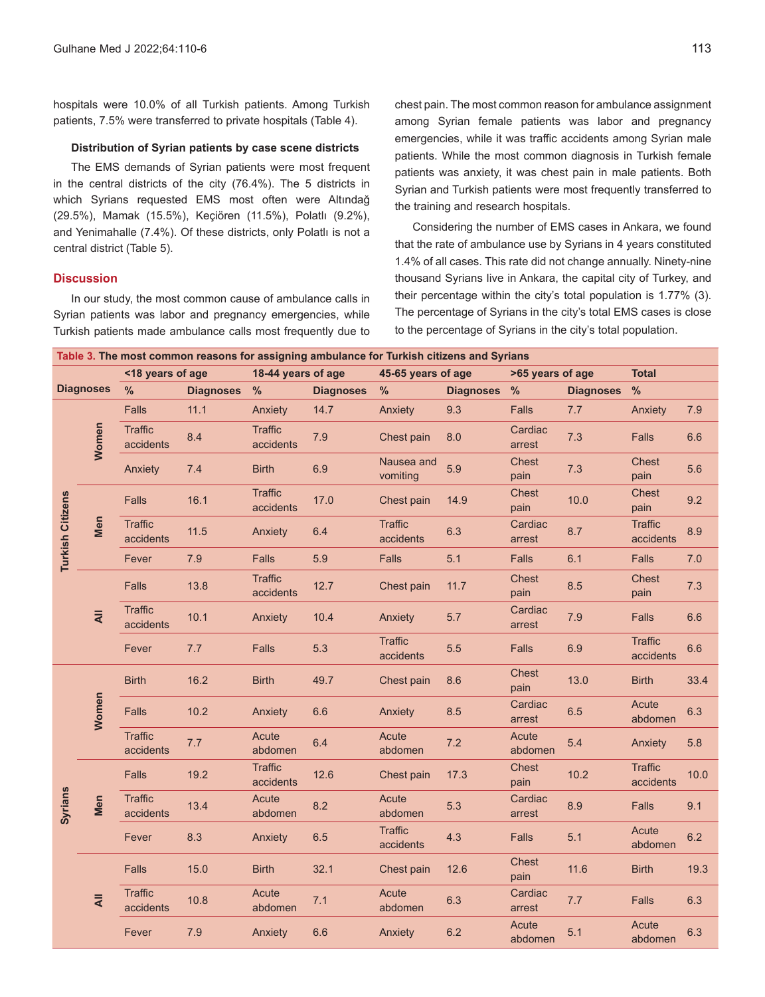hospitals were 10.0% of all Turkish patients. Among Turkish patients, 7.5% were transferred to private hospitals (Table 4).

## **Distribution of Syrian patients by case scene districts**

The EMS demands of Syrian patients were most frequent in the central districts of the city (76.4%). The 5 districts in which Syrians requested EMS most often were Altındağ (29.5%), Mamak (15.5%), Keçiören (11.5%), Polatlı (9.2%), and Yenimahalle (7.4%). Of these districts, only Polatlı is not a central district (Table 5).

## **Discussion**

In our study, the most common cause of ambulance calls in Syrian patients was labor and pregnancy emergencies, while Turkish patients made ambulance calls most frequently due to chest pain. The most common reason for ambulance assignment among Syrian female patients was labor and pregnancy emergencies, while it was traffic accidents among Syrian male patients. While the most common diagnosis in Turkish female patients was anxiety, it was chest pain in male patients. Both Syrian and Turkish patients were most frequently transferred to the training and research hospitals.

Considering the number of EMS cases in Ankara, we found that the rate of ambulance use by Syrians in 4 years constituted 1.4% of all cases. This rate did not change annually. Ninety-nine thousand Syrians live in Ankara, the capital city of Turkey, and their percentage within the city's total population is 1.77% (3). The percentage of Syrians in the city's total EMS cases is close to the percentage of Syrians in the city's total population.

| Table 3. The most common reasons for assigning ambulance for Turkish citizens and Syrians |                |                             |                  |                             |                  |                             |                  |                      |                  |                             |      |
|-------------------------------------------------------------------------------------------|----------------|-----------------------------|------------------|-----------------------------|------------------|-----------------------------|------------------|----------------------|------------------|-----------------------------|------|
|                                                                                           |                | <18 years of age            |                  | 18-44 years of age          |                  | 45-65 years of age          |                  | >65 years of age     |                  | <b>Total</b>                |      |
| <b>Diagnoses</b>                                                                          |                | %                           | <b>Diagnoses</b> | %                           | <b>Diagnoses</b> | $\frac{9}{6}$               | <b>Diagnoses</b> | %                    | <b>Diagnoses</b> | $\frac{0}{0}$               |      |
| Turkish Citizens                                                                          |                | Falls                       | 11.1             | Anxiety                     | 14.7             | Anxiety                     | 9.3              | <b>Falls</b>         | 7.7              | Anxiety                     | 7.9  |
|                                                                                           | Women          | <b>Traffic</b><br>accidents | 8.4              | <b>Traffic</b><br>accidents | 7.9              | Chest pain                  | 8.0              | Cardiac<br>arrest    | 7.3              | <b>Falls</b>                | 6.6  |
|                                                                                           |                | Anxiety                     | 7.4              | <b>Birth</b>                | 6.9              | Nausea and<br>vomiting      | 5.9              | <b>Chest</b><br>pain | 7.3              | <b>Chest</b><br>pain        | 5.6  |
|                                                                                           |                | Falls                       | 16.1             | <b>Traffic</b><br>accidents | 17.0             | Chest pain                  | 14.9             | <b>Chest</b><br>pain | 10.0             | <b>Chest</b><br>pain        | 9.2  |
|                                                                                           | Men            | <b>Traffic</b><br>accidents | 11.5             | Anxiety                     | 6.4              | <b>Traffic</b><br>accidents | 6.3              | Cardiac<br>arrest    | 8.7              | <b>Traffic</b><br>accidents | 8.9  |
|                                                                                           |                | Fever                       | 7.9              | Falls                       | 5.9              | Falls                       | 5.1              | <b>Falls</b>         | 6.1              | <b>Falls</b>                | 7.0  |
|                                                                                           | $\overline{4}$ | <b>Falls</b>                | 13.8             | <b>Traffic</b><br>accidents | 12.7             | Chest pain                  | 11.7             | <b>Chest</b><br>pain | 8.5              | <b>Chest</b><br>pain        | 7.3  |
|                                                                                           |                | <b>Traffic</b><br>accidents | 10.1             | Anxiety                     | 10.4             | Anxiety                     | 5.7              | Cardiac<br>arrest    | 7.9              | <b>Falls</b>                | 6.6  |
|                                                                                           |                | Fever                       | 7.7              | <b>Falls</b>                | 5.3              | <b>Traffic</b><br>accidents | 5.5              | <b>Falls</b>         | 6.9              | <b>Traffic</b><br>accidents | 6.6  |
|                                                                                           | Women          | <b>Birth</b>                | 16.2             | <b>Birth</b>                | 49.7             | Chest pain                  | 8.6              | <b>Chest</b><br>pain | 13.0             | <b>Birth</b>                | 33.4 |
|                                                                                           |                | <b>Falls</b>                | 10.2             | Anxiety                     | 6.6              | Anxiety                     | 8.5              | Cardiac<br>arrest    | 6.5              | Acute<br>abdomen            | 6.3  |
|                                                                                           |                | <b>Traffic</b><br>accidents | 7.7              | Acute<br>abdomen            | 6.4              | Acute<br>abdomen            | 7.2              | Acute<br>abdomen     | 5.4              | Anxiety                     | 5.8  |
| <b>Syrians</b>                                                                            | Men            | <b>Falls</b>                | 19.2             | <b>Traffic</b><br>accidents | 12.6             | Chest pain                  | 17.3             | Chest<br>pain        | 10.2             | <b>Traffic</b><br>accidents | 10.0 |
|                                                                                           |                | <b>Traffic</b><br>accidents | 13.4             | Acute<br>abdomen            | 8.2              | Acute<br>abdomen            | 5.3              | Cardiac<br>arrest    | 8.9              | <b>Falls</b>                | 9.1  |
|                                                                                           |                | Fever                       | 8.3              | Anxiety                     | 6.5              | <b>Traffic</b><br>accidents | 4.3              | <b>Falls</b>         | 5.1              | Acute<br>abdomen            | 6.2  |
|                                                                                           |                | <b>Falls</b>                | 15.0             | <b>Birth</b>                | 32.1             | Chest pain                  | 12.6             | <b>Chest</b><br>pain | 11.6             | <b>Birth</b>                | 19.3 |
|                                                                                           | $\overline{4}$ | <b>Traffic</b><br>accidents | 10.8             | Acute<br>abdomen            | 7.1              | Acute<br>abdomen            | 6.3              | Cardiac<br>arrest    | 7.7              | <b>Falls</b>                | 6.3  |
|                                                                                           |                | Fever                       | 7.9              | Anxiety                     | 6.6              | Anxiety                     | 6.2              | Acute<br>abdomen     | 5.1              | Acute<br>abdomen            | 6.3  |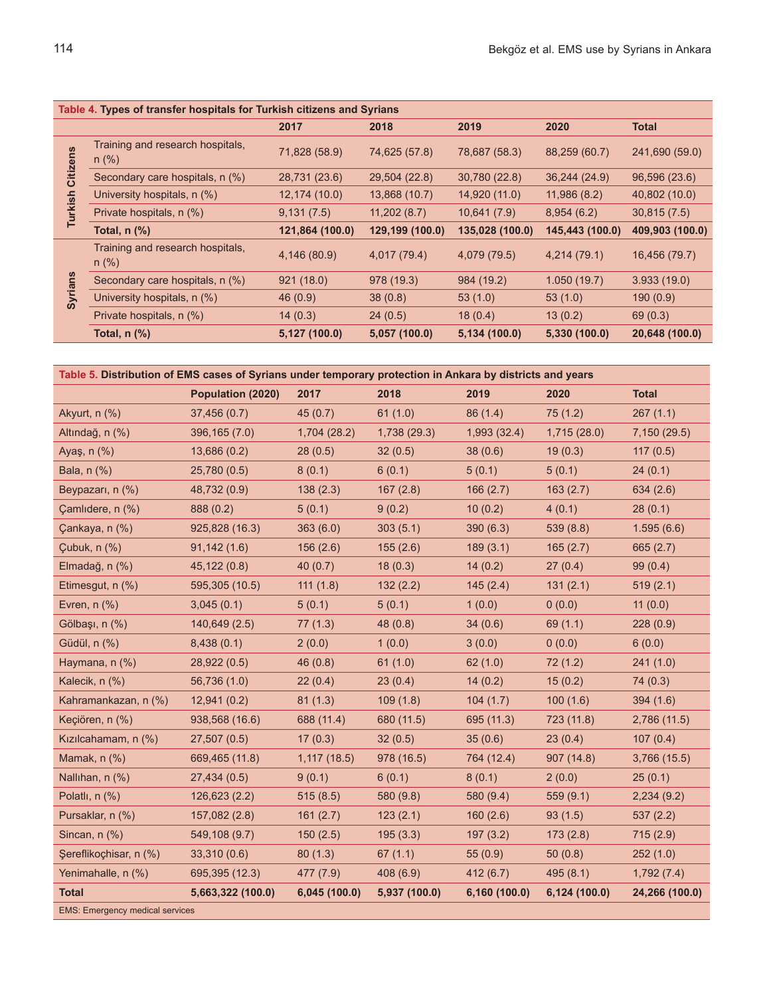| Table 4. Types of transfer hospitals for Turkish citizens and Syrians |                                             |                 |                 |                 |                 |                 |  |  |
|-----------------------------------------------------------------------|---------------------------------------------|-----------------|-----------------|-----------------|-----------------|-----------------|--|--|
|                                                                       |                                             | 2017            | 2018            | 2019            | 2020            | <b>Total</b>    |  |  |
| Citizens<br>Turkish                                                   | Training and research hospitals,<br>$n$ (%) | 71,828 (58.9)   | 74,625 (57.8)   | 78,687 (58.3)   | 88,259 (60.7)   | 241,690 (59.0)  |  |  |
|                                                                       | Secondary care hospitals, n (%)             | 28,731 (23.6)   | 29,504 (22.8)   | 30,780 (22.8)   | 36,244 (24.9)   | 96,596 (23.6)   |  |  |
|                                                                       | University hospitals, n (%)                 | 12,174 (10.0)   | 13,868 (10.7)   | 14,920 (11.0)   | 11,986 (8.2)    | 40,802 (10.0)   |  |  |
|                                                                       | Private hospitals, n (%)                    | 9,131(7.5)      | 11,202(8.7)     | 10,641(7.9)     | 8,954(6.2)      | 30,815(7.5)     |  |  |
|                                                                       | Total, $n$ $\left(\frac{9}{6}\right)$       | 121,864 (100.0) | 129,199 (100.0) | 135,028 (100.0) | 145,443 (100.0) | 409,903 (100.0) |  |  |
| <b>Syrians</b>                                                        | Training and research hospitals,<br>$n$ (%) | 4,146 (80.9)    | 4,017 (79.4)    | 4,079 (79.5)    | 4,214(79.1)     | 16,456 (79.7)   |  |  |
|                                                                       | Secondary care hospitals, n (%)             | 921(18.0)       | 978 (19.3)      | 984 (19.2)      | 1.050(19.7)     | 3.933(19.0)     |  |  |
|                                                                       | University hospitals, n (%)                 | 46(0.9)         | 38(0.8)         | 53(1.0)         | 53(1.0)         | 190(0.9)        |  |  |
|                                                                       | Private hospitals, n (%)                    | 14(0.3)         | 24(0.5)         | 18(0.4)         | 13(0.2)         | 69(0.3)         |  |  |
|                                                                       | Total, $n$ $%$                              | 5,127 (100.0)   | 5,057 (100.0)   | 5,134 (100.0)   | 5,330 (100.0)   | 20,648 (100.0)  |  |  |

| Table 5. Distribution of EMS cases of Syrians under temporary protection in Ankara by districts and years |                   |               |               |               |               |                |  |  |  |
|-----------------------------------------------------------------------------------------------------------|-------------------|---------------|---------------|---------------|---------------|----------------|--|--|--|
|                                                                                                           | Population (2020) | 2017          | 2018          | 2019          | 2020          | <b>Total</b>   |  |  |  |
| Akyurt, n (%)                                                                                             | 37,456 (0.7)      | 45(0.7)       | 61(1.0)       | 86 (1.4)      | 75(1.2)       | 267(1.1)       |  |  |  |
| Altındağ, n (%)                                                                                           | 396, 165 (7.0)    | 1,704(28.2)   | 1,738(29.3)   | 1,993(32.4)   | 1,715(28.0)   | 7,150 (29.5)   |  |  |  |
| Ayaş, n (%)                                                                                               | 13,686 (0.2)      | 28(0.5)       | 32(0.5)       | 38(0.6)       | 19(0.3)       | 117(0.5)       |  |  |  |
| Bala, n (%)                                                                                               | 25,780 (0.5)      | 8(0.1)        | 6(0.1)        | 5(0.1)        | 5(0.1)        | 24(0.1)        |  |  |  |
| Beypazarı, n (%)                                                                                          | 48,732 (0.9)      | 138(2.3)      | 167(2.8)      | 166(2.7)      | 163(2.7)      | 634(2.6)       |  |  |  |
| Çamlıdere, n (%)                                                                                          | 888 (0.2)         | 5(0.1)        | 9(0.2)        | 10(0.2)       | 4(0.1)        | 28(0.1)        |  |  |  |
| Çankaya, n (%)                                                                                            | 925,828 (16.3)    | 363(6.0)      | 303(5.1)      | 390(6.3)      | 539 (8.8)     | 1.595(6.6)     |  |  |  |
| Çubuk, n (%)                                                                                              | 91,142(1.6)       | 156(2.6)      | 155(2.6)      | 189(3.1)      | 165(2.7)      | 665(2.7)       |  |  |  |
| Elmadağ, n (%)                                                                                            | 45,122 (0.8)      | 40 $(0.7)$    | 18(0.3)       | 14(0.2)       | 27(0.4)       | 99(0.4)        |  |  |  |
| Etimesgut, n (%)                                                                                          | 595,305 (10.5)    | 111(1.8)      | 132(2.2)      | 145(2.4)      | 131(2.1)      | 519(2.1)       |  |  |  |
| Evren, $n$ $%$                                                                                            | 3,045(0.1)        | 5(0.1)        | 5(0.1)        | 1(0.0)        | 0(0.0)        | 11(0.0)        |  |  |  |
| Gölbaşı, n (%)                                                                                            | 140,649 (2.5)     | 77(1.3)       | 48(0.8)       | 34(0.6)       | 69(1.1)       | 228(0.9)       |  |  |  |
| Güdül, n (%)                                                                                              | 8,438(0.1)        | 2(0.0)        | 1(0.0)        | 3(0.0)        | 0(0.0)        | 6(0.0)         |  |  |  |
| Haymana, n (%)                                                                                            | 28,922 (0.5)      | 46(0.8)       | 61(1.0)       | 62(1.0)       | 72(1.2)       | 241(1.0)       |  |  |  |
| Kalecik, n (%)                                                                                            | 56,736 (1.0)      | 22(0.4)       | 23(0.4)       | 14(0.2)       | 15(0.2)       | 74(0.3)        |  |  |  |
| Kahramankazan, n (%)                                                                                      | 12,941(0.2)       | 81(1.3)       | 109(1.8)      | 104(1.7)      | 100(1.6)      | 394(1.6)       |  |  |  |
| Keçiören, n (%)                                                                                           | 938,568 (16.6)    | 688 (11.4)    | 680 (11.5)    | 695 (11.3)    | 723 (11.8)    | 2,786 (11.5)   |  |  |  |
| Kızılcahamam, n (%)                                                                                       | 27,507(0.5)       | 17(0.3)       | 32(0.5)       | 35(0.6)       | 23(0.4)       | 107(0.4)       |  |  |  |
| Mamak, $n$ $(\%)$                                                                                         | 669,465 (11.8)    | 1,117(18.5)   | 978 (16.5)    | 764 (12.4)    | 907(14.8)     | 3,766(15.5)    |  |  |  |
| Nallihan, n (%)                                                                                           | 27,434 (0.5)      | 9(0.1)        | 6(0.1)        | 8(0.1)        | 2(0.0)        | 25(0.1)        |  |  |  |
| Polatli, $n$ $(\%)$                                                                                       | 126,623 (2.2)     | 515(8.5)      | 580 (9.8)     | 580 (9.4)     | 559(9.1)      | 2,234(9.2)     |  |  |  |
| Pursaklar, n (%)                                                                                          | 157,082 (2.8)     | 161(2.7)      | 123(2.1)      | 160(2.6)      | 93(1.5)       | 537(2.2)       |  |  |  |
| Sincan, n (%)                                                                                             | 549,108 (9.7)     | 150(2.5)      | 195(3.3)      | 197(3.2)      | 173(2.8)      | 715(2.9)       |  |  |  |
| Şereflikoçhisar, n (%)                                                                                    | 33,310(0.6)       | 80(1.3)       | 67(1.1)       | 55(0.9)       | 50(0.8)       | 252(1.0)       |  |  |  |
| Yenimahalle, n (%)                                                                                        | 695,395 (12.3)    | 477 (7.9)     | 408(6.9)      | 412(6.7)      | 495(8.1)      | 1,792(7.4)     |  |  |  |
| <b>Total</b>                                                                                              | 5,663,322 (100.0) | 6,045 (100.0) | 5,937 (100.0) | 6,160 (100.0) | 6,124 (100.0) | 24,266 (100.0) |  |  |  |
| <b>EMS: Emergency medical services</b>                                                                    |                   |               |               |               |               |                |  |  |  |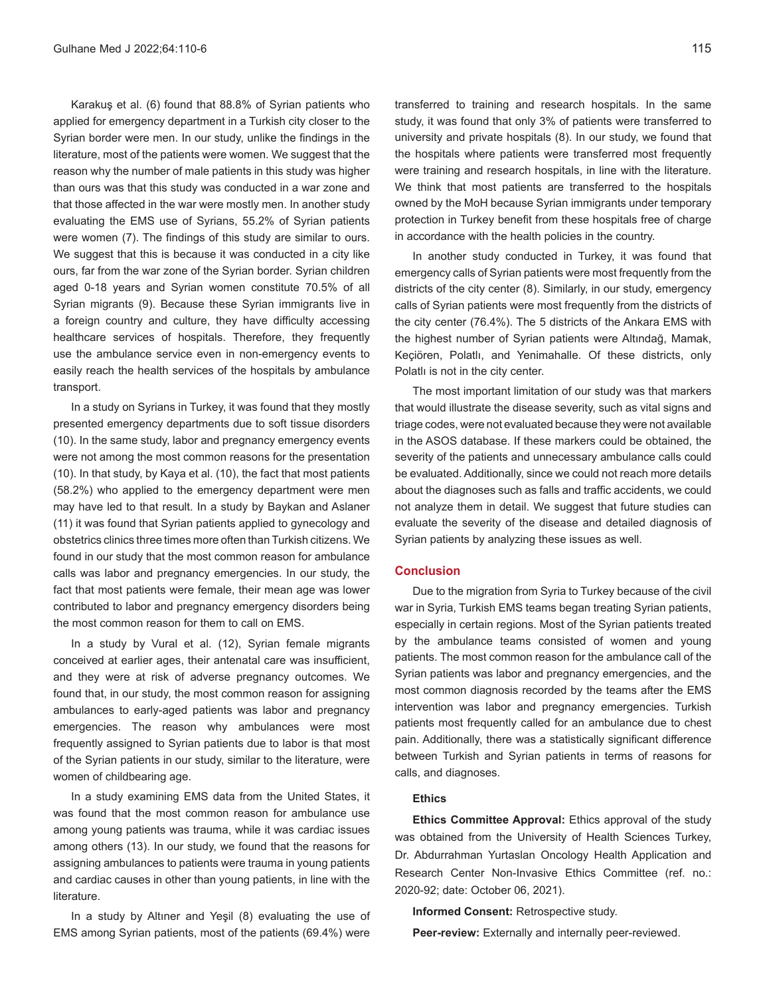Karakuş et al. (6) found that 88.8% of Syrian patients who applied for emergency department in a Turkish city closer to the Syrian border were men. In our study, unlike the findings in the literature, most of the patients were women. We suggest that the reason why the number of male patients in this study was higher than ours was that this study was conducted in a war zone and that those affected in the war were mostly men. In another study evaluating the EMS use of Syrians, 55.2% of Syrian patients were women (7). The findings of this study are similar to ours. We suggest that this is because it was conducted in a city like ours, far from the war zone of the Syrian border. Syrian children aged 0-18 years and Syrian women constitute 70.5% of all Syrian migrants (9). Because these Syrian immigrants live in a foreign country and culture, they have difficulty accessing healthcare services of hospitals. Therefore, they frequently use the ambulance service even in non-emergency events to easily reach the health services of the hospitals by ambulance transport.

In a study on Syrians in Turkey, it was found that they mostly presented emergency departments due to soft tissue disorders (10). In the same study, labor and pregnancy emergency events were not among the most common reasons for the presentation (10). In that study, by Kaya et al. (10), the fact that most patients (58.2%) who applied to the emergency department were men may have led to that result. In a study by Baykan and Aslaner (11) it was found that Syrian patients applied to gynecology and obstetrics clinics three times more often than Turkish citizens. We found in our study that the most common reason for ambulance calls was labor and pregnancy emergencies. In our study, the fact that most patients were female, their mean age was lower contributed to labor and pregnancy emergency disorders being the most common reason for them to call on EMS.

In a study by Vural et al. (12), Syrian female migrants conceived at earlier ages, their antenatal care was insufficient, and they were at risk of adverse pregnancy outcomes. We found that, in our study, the most common reason for assigning ambulances to early-aged patients was labor and pregnancy emergencies. The reason why ambulances were most frequently assigned to Syrian patients due to labor is that most of the Syrian patients in our study, similar to the literature, were women of childbearing age.

In a study examining EMS data from the United States, it was found that the most common reason for ambulance use among young patients was trauma, while it was cardiac issues among others (13). In our study, we found that the reasons for assigning ambulances to patients were trauma in young patients and cardiac causes in other than young patients, in line with the literature.

In a study by Altıner and Yeşil (8) evaluating the use of EMS among Syrian patients, most of the patients (69.4%) were transferred to training and research hospitals. In the same study, it was found that only 3% of patients were transferred to university and private hospitals (8). In our study, we found that the hospitals where patients were transferred most frequently were training and research hospitals, in line with the literature. We think that most patients are transferred to the hospitals owned by the MoH because Syrian immigrants under temporary protection in Turkey benefit from these hospitals free of charge in accordance with the health policies in the country.

In another study conducted in Turkey, it was found that emergency calls of Syrian patients were most frequently from the districts of the city center (8). Similarly, in our study, emergency calls of Syrian patients were most frequently from the districts of the city center (76.4%). The 5 districts of the Ankara EMS with the highest number of Syrian patients were Altındağ, Mamak, Keçiören, Polatlı, and Yenimahalle. Of these districts, only Polatlı is not in the city center.

The most important limitation of our study was that markers that would illustrate the disease severity, such as vital signs and triage codes, were not evaluated because they were not available in the ASOS database. If these markers could be obtained, the severity of the patients and unnecessary ambulance calls could be evaluated. Additionally, since we could not reach more details about the diagnoses such as falls and traffic accidents, we could not analyze them in detail. We suggest that future studies can evaluate the severity of the disease and detailed diagnosis of Syrian patients by analyzing these issues as well.

#### **Conclusion**

Due to the migration from Syria to Turkey because of the civil war in Syria, Turkish EMS teams began treating Syrian patients, especially in certain regions. Most of the Syrian patients treated by the ambulance teams consisted of women and young patients. The most common reason for the ambulance call of the Syrian patients was labor and pregnancy emergencies, and the most common diagnosis recorded by the teams after the EMS intervention was labor and pregnancy emergencies. Turkish patients most frequently called for an ambulance due to chest pain. Additionally, there was a statistically significant difference between Turkish and Syrian patients in terms of reasons for calls, and diagnoses.

#### **Ethics**

**Ethics Committee Approval:** Ethics approval of the study was obtained from the University of Health Sciences Turkey, Dr. Abdurrahman Yurtaslan Oncology Health Application and Research Center Non-Invasive Ethics Committee (ref. no.: 2020-92; date: October 06, 2021).

**Informed Consent:** Retrospective study.

**Peer-review:** Externally and internally peer-reviewed.